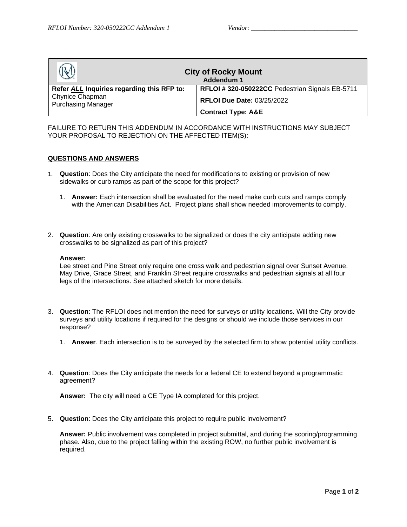| <b>City of Rocky Mount</b><br>Addendum 1     |                                                |  |
|----------------------------------------------|------------------------------------------------|--|
| Refer ALL Inquiries regarding this RFP to:   | RFLOI #320-050222CC Pedestrian Signals EB-5711 |  |
| Chynice Chapman<br><b>Purchasing Manager</b> | <b>RFLOI Due Date: 03/25/2022</b>              |  |
|                                              | <b>Contract Type: A&amp;E</b>                  |  |

FAILURE TO RETURN THIS ADDENDUM IN ACCORDANCE WITH INSTRUCTIONS MAY SUBJECT YOUR PROPOSAL TO REJECTION ON THE AFFECTED ITEM(S):

#### **QUESTIONS AND ANSWERS**

- 1. **Question**: Does the City anticipate the need for modifications to existing or provision of new sidewalks or curb ramps as part of the scope for this project?
	- 1. **Answer:** Each intersection shall be evaluated for the need make curb cuts and ramps comply with the American Disabilities Act. Project plans shall show needed improvements to comply.
- 2. **Question**: Are only existing crosswalks to be signalized or does the city anticipate adding new crosswalks to be signalized as part of this project?

#### **Answer:**

Lee street and Pine Street only require one cross walk and pedestrian signal over Sunset Avenue. May Drive, Grace Street, and Franklin Street require crosswalks and pedestrian signals at all four legs of the intersections. See attached sketch for more details.

- 3. **Question**: The RFLOI does not mention the need for surveys or utility locations. Will the City provide surveys and utility locations if required for the designs or should we include those services in our response?
	- 1. **Answer**. Each intersection is to be surveyed by the selected firm to show potential utility conflicts.
- 4. **Question**: Does the City anticipate the needs for a federal CE to extend beyond a programmatic agreement?

**Answer:** The city will need a CE Type IA completed for this project.

5. **Question**: Does the City anticipate this project to require public involvement?

**Answer:** Public involvement was completed in project submittal, and during the scoring/programming phase. Also, due to the project falling within the existing ROW, no further public involvement is required.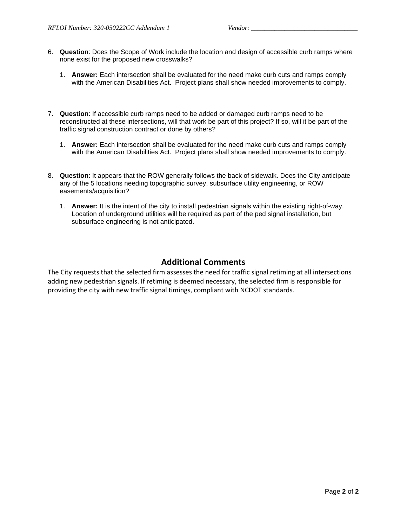- 6. **Question**: Does the Scope of Work include the location and design of accessible curb ramps where none exist for the proposed new crosswalks?
	- 1. **Answer:** Each intersection shall be evaluated for the need make curb cuts and ramps comply with the American Disabilities Act. Project plans shall show needed improvements to comply.
- 7. **Question**: If accessible curb ramps need to be added or damaged curb ramps need to be reconstructed at these intersections, will that work be part of this project? If so, will it be part of the traffic signal construction contract or done by others?
	- 1. **Answer:** Each intersection shall be evaluated for the need make curb cuts and ramps comply with the American Disabilities Act. Project plans shall show needed improvements to comply.
- 8. **Question**: It appears that the ROW generally follows the back of sidewalk. Does the City anticipate any of the 5 locations needing topographic survey, subsurface utility engineering, or ROW easements/acquisition?
	- 1. **Answer:** It is the intent of the city to install pedestrian signals within the existing right-of-way. Location of underground utilities will be required as part of the ped signal installation, but subsurface engineering is not anticipated.

### **Additional Comments**

The City requests that the selected firm assesses the need for traffic signal retiming at all intersections adding new pedestrian signals. If retiming is deemed necessary, the selected firm is responsible for providing the city with new traffic signal timings, compliant with NCDOT standards.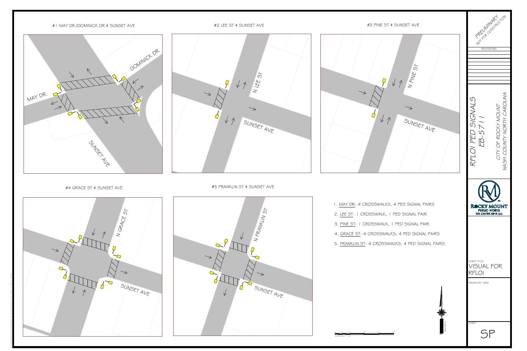



| Michigan Miller                                                           |                                                   |
|---------------------------------------------------------------------------|---------------------------------------------------|
| <b>REVISIONS</b>                                                          |                                                   |
| RFLOI PED SIGNALS<br>EB-571                                               | NASH COUNTY NORTH CAROLINA<br>CITY OF ROCKY MOUNT |
| <b>ROCKY MOUNT</b><br><b>PUBLIC WORKS</b><br>THE CENTER OF IT ALL         | <b>SM</b>                                         |
| SHEET TITLE:<br>VISUAL FOR<br>RF<br>$\overline{\bigcap}$<br>DRAWN BY: ORM |                                                   |
| <b>SHEET</b>                                                              |                                                   |





- 
- 
- 
- 
- 

40' 20' 0 40' 80' 120'

M<br>MAGNETIC

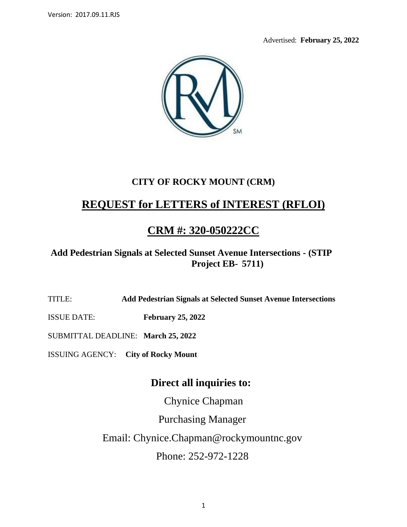Advertised: **February 25, 2022**



# **CITY OF ROCKY MOUNT (CRM)**

# **REQUEST for LETTERS of INTEREST (RFLOI)**

# **CRM #: 320-050222CC**

## **Add Pedestrian Signals at Selected Sunset Avenue Intersections - (STIP Project EB- 5711)**

TITLE: **Add Pedestrian Signals at Selected Sunset Avenue Intersections**

ISSUE DATE: **February 25, 2022**

SUBMITTAL DEADLINE: **March 25, 2022**

ISSUING AGENCY: **City of Rocky Mount** 

## **Direct all inquiries to:**

Chynice Chapman

Purchasing Manager

Email: Chynice.Chapman@rockymountnc.gov

Phone: 252-972-1228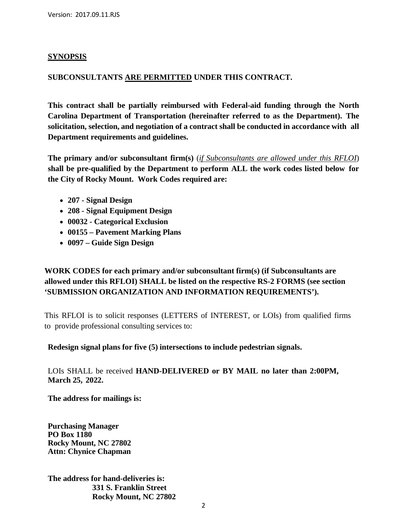#### **SYNOPSIS**

#### **SUBCONSULTANTS ARE PERMITTED UNDER THIS CONTRACT.**

**This contract shall be partially reimbursed with Federal-aid funding through the North Carolina Department of Transportation (hereinafter referred to as the Department). The solicitation, selection, and negotiation of a contract shall be conducted in accordance with all Department requirements and guidelines.**

**The primary and/or subconsultant firm(s)** (*if Subconsultants are allowed under this RFLOI*) **shall be pre-qualified by the Department to perform ALL the work codes listed below for the City of Rocky Mount. Work Codes required are:**

- **207 - Signal Design**
- **208 - Signal Equipment Design**
- **00032 - Categorical Exclusion**
- **00155 – Pavement Marking Plans**
- **0097 – Guide Sign Design**

### **WORK CODES for each primary and/or subconsultant firm(s) (if Subconsultants are allowed under this RFLOI) SHALL be listed on the respective RS-2 FORMS (see section 'SUBMISSION ORGANIZATION AND INFORMATION REQUIREMENTS').**

This RFLOI is to solicit responses (LETTERS of INTEREST, or LOIs) from qualified firms to provide professional consulting services to:

#### **Redesign signal plans for five (5) intersections to include pedestrian signals.**

LOIs SHALL be received **HAND-DELIVERED or BY MAIL no later than 2:00PM, March 25, 2022.**

**The address for mailings is:**

**Purchasing Manager PO Box 1180 Rocky Mount, NC 27802 Attn: Chynice Chapman**

**The address for hand-deliveries is: 331 S. Franklin Street Rocky Mount, NC 27802**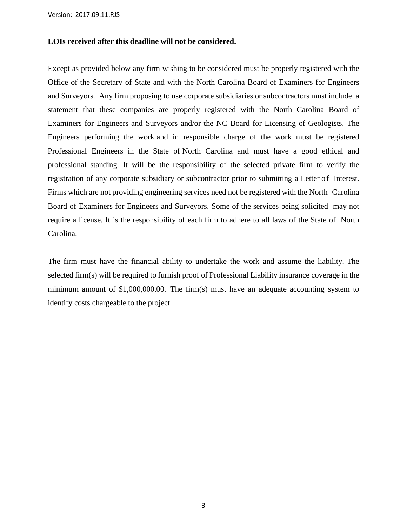Version: 2017.09.11.RJS

#### **LOIs received after this deadline will not be considered.**

Except as provided below any firm wishing to be considered must be properly registered with the Office of the Secretary of State and with the North Carolina Board of Examiners for Engineers and Surveyors. Any firm proposing to use corporate subsidiaries or subcontractors must include a statement that these companies are properly registered with the North Carolina Board of Examiners for Engineers and Surveyors and/or the NC Board for Licensing of Geologists. The Engineers performing the work and in responsible charge of the work must be registered Professional Engineers in the State of North Carolina and must have a good ethical and professional standing. It will be the responsibility of the selected private firm to verify the registration of any corporate subsidiary or subcontractor prior to submitting a Letter of Interest. Firms which are not providing engineering services need not be registered with the North Carolina Board of Examiners for Engineers and Surveyors. Some of the services being solicited may not require a license. It is the responsibility of each firm to adhere to all laws of the State of North Carolina.

The firm must have the financial ability to undertake the work and assume the liability. The selected firm(s) will be required to furnish proof of Professional Liability insurance coverage in the minimum amount of \$1,000,000.00. The firm(s) must have an adequate accounting system to identify costs chargeable to the project.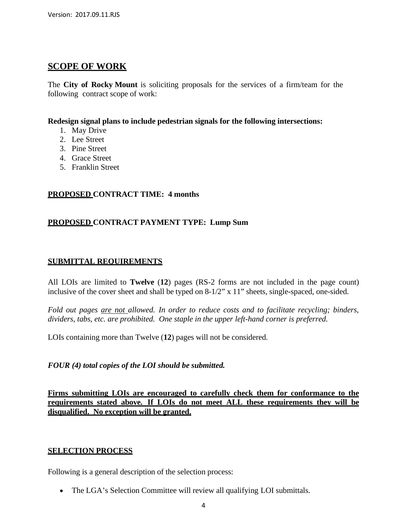### **SCOPE OF WORK**

The **City of Rocky Mount** is soliciting proposals for the services of a firm/team for the following contract scope of work:

#### **Redesign signal plans to include pedestrian signals for the following intersections:**

- 1. May Drive
- 2. Lee Street
- 3. Pine Street
- 4. Grace Street
- 5. Franklin Street

#### **PROPOSED CONTRACT TIME: 4 months**

#### **PROPOSED CONTRACT PAYMENT TYPE: Lump Sum**

#### **SUBMITTAL REQUIREMENTS**

All LOIs are limited to **Twelve** (**12**) pages (RS-2 forms are not included in the page count) inclusive of the cover sheet and shall be typed on 8-1/2" x 11" sheets, single-spaced, one-sided.

*Fold out pages are not allowed. In order to reduce costs and to facilitate recycling; binders, dividers, tabs, etc. are prohibited. One staple in the upper left-hand corner is preferred.*

LOIs containing more than Twelve (**12**) pages will not be considered.

#### *FOUR (4) total copies of the LOI should be submitted.*

**Firms submitting LOIs are encouraged to carefully check them for conformance to the requirements stated above. If LOIs do not meet ALL these requirements they will be disqualified. No exception will be granted.**

#### **SELECTION PROCESS**

Following is a general description of the selection process:

• The LGA's Selection Committee will review all qualifying LOI submittals.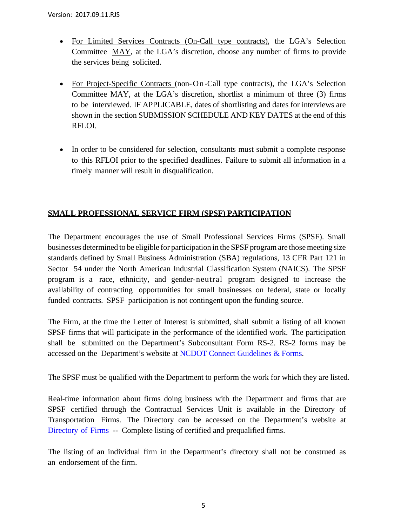- For Limited Services Contracts (On-Call type contracts), the LGA's Selection Committee MAY, at the LGA's discretion, choose any number of firms to provide the services being solicited.
- For Project-Specific Contracts (non-On-Call type contracts), the LGA's Selection Committee MAY, at the LGA's discretion, shortlist a minimum of three (3) firms to be interviewed. IF APPLICABLE, dates of shortlisting and dates for interviews are shown in the section SUBMISSION SCHEDULE AND KEY DATES at the end of this RFLOI.
- In order to be considered for selection, consultants must submit a complete response to this RFLOI prior to the specified deadlines. Failure to submit all information in a timely manner will result in disqualification.

#### **SMALL PROFESSIONAL SERVICE FIRM (SPSF) PARTICIPATION**

The Department encourages the use of Small Professional Services Firms (SPSF). Small businesses determined to be eligible for participation in the SPSF program are those meeting size standards defined by Small Business Administration (SBA) regulations, 13 CFR Part 121 in Sector 54 under the North American Industrial Classification System (NAICS). The SPSF program is a race, ethnicity, and gender-neutral program designed to increase the availability of contracting opportunities for small businesses on federal, state or locally funded contracts. SPSF participation is not contingent upon the funding source.

The Firm, at the time the Letter of Interest is submitted, shall submit a listing of all known SPSF firms that will participate in the performance of the identified work. The participation shall be submitted on the Department's Subconsultant Form RS-2. RS-2 forms may be accessed on the Department's website at NCDOT [Connect Guidelines](https://connect.ncdot.gov/business/consultants/Pages/Guidelines-Forms.aspx) & Forms.

The SPSF must be qualified with the Department to perform the work for which they are listed.

Real-time information about firms doing business with the Department and firms that are SPSF certified through the Contractual Services Unit is available in the Directory of Transportation Firms. The Directory can be accessed on the Department's website at [Directory](https://www.ebs.nc.gov/VendorDirectory/default.html) of Firms -- Complete listing of certified and prequalified firms.

The listing of an individual firm in the Department's directory shall not be construed as an endorsement of the firm.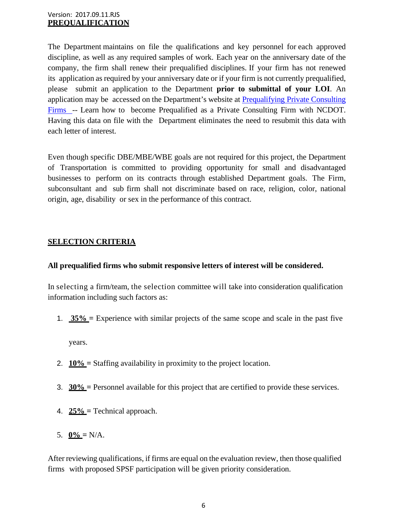The Department maintains on file the qualifications and key personnel for each approved discipline, as well as any required samples of work. Each year on the anniversary date of the company, the firm shall renew their prequalified disciplines. If your firm has not renewed its application as required by your anniversary date or if your firm is not currently prequalified, please submit an application to the Department **prior to submittal of your LOI**. An application may be accessed on the Department's website at [Prequalifying](https://connect.ncdot.gov/business/Prequal/Pages/Private-Consulting-Firm.aspx) Private Consulting [Firms](https://connect.ncdot.gov/business/Prequal/Pages/Private-Consulting-Firm.aspx) -- Learn how to become Prequalified as a Private Consulting Firm with NCDOT. Having this data on file with the Department eliminates the need to resubmit this data with each letter of interest.

Even though specific DBE/MBE/WBE goals are not required for this project, the Department of Transportation is committed to providing opportunity for small and disadvantaged businesses to perform on its contracts through established Department goals. The Firm, subconsultant and sub firm shall not discriminate based on race, religion, color, national origin, age, disability or sex in the performance of this contract.

#### **SELECTION CRITERIA**

#### **All prequalified firms who submit responsive letters of interest will be considered.**

In selecting a firm/team, the selection committee will take into consideration qualification information including such factors as:

1. **35% =** Experience with similar projects of the same scope and scale in the past five

years.

- 2. **10% =** Staffing availability in proximity to the project location.
- 3. **30% =** Personnel available for this project that are certified to provide these services.
- 4. **25% =** Technical approach.
- 5.  $0\% = N/A$ .

After reviewing qualifications, if firms are equal on the evaluation review, then those qualified firms with proposed SPSF participation will be given priority consideration.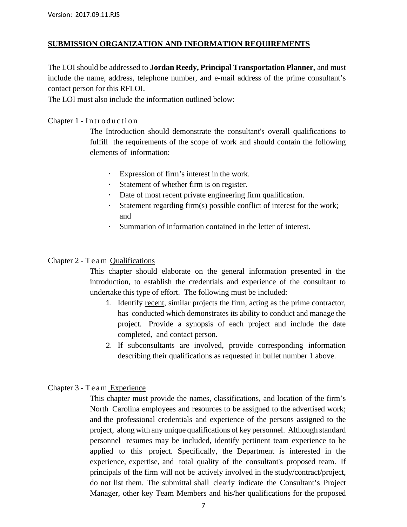#### **SUBMISSION ORGANIZATION AND INFORMATION REQUIREMENTS**

The LOI should be addressed to **Jordan Reedy, Principal Transportation Planner,** and must include the name, address, telephone number, and e-mail address of the prime consultant's contact person for this RFLOI.

The LOI must also include the information outlined below:

#### Chapter 1 - Introduction

The Introduction should demonstrate the consultant's overall qualifications to fulfill the requirements of the scope of work and should contain the following elements of information:

- Expression of firm's interest in the work.
- Statement of whether firm is on register.
- Date of most recent private engineering firm qualification.
- Statement regarding firm(s) possible conflict of interest for the work; and
- Summation of information contained in the letter of interest.

#### Chapter 2 - Team Qualifications

This chapter should elaborate on the general information presented in the introduction, to establish the credentials and experience of the consultant to undertake this type of effort. The following must be included:

- 1. Identify recent, similar projects the firm, acting as the prime contractor, has conducted which demonstrates its ability to conduct and manage the project. Provide a synopsis of each project and include the date completed, and contact person.
- 2. If subconsultants are involved, provide corresponding information describing their qualifications as requested in bullet number 1 above.

#### Chapter 3 - Team Experience

This chapter must provide the names, classifications, and location of the firm's North Carolina employees and resources to be assigned to the advertised work; and the professional credentials and experience of the persons assigned to the project, along with any unique qualifications of key personnel. Although standard personnel resumes may be included, identify pertinent team experience to be applied to this project. Specifically, the Department is interested in the experience, expertise, and total quality of the consultant's proposed team. If principals of the firm will not be actively involved in the study/contract/project, do not list them. The submittal shall clearly indicate the Consultant's Project Manager, other key Team Members and his/her qualifications for the proposed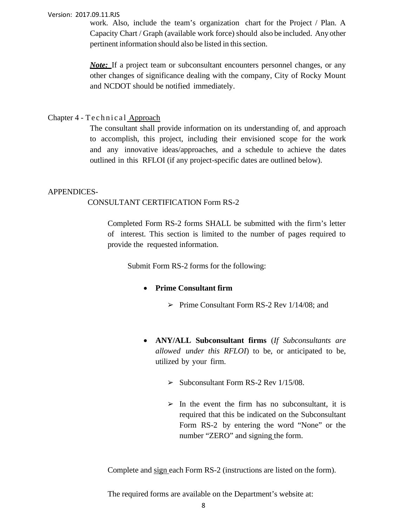#### Version: 2017.09.11.RJS

work. Also, include the team's organization chart for the Project / Plan. A Capacity Chart / Graph (available work force) should also be included. Any other pertinent information should also be listed in this section.

*Note:* If a project team or subconsultant encounters personnel changes, or any other changes of significance dealing with the company, City of Rocky Mount and NCDOT should be notified immediately.

#### Chapter 4 - Technical Approach

The consultant shall provide information on its understanding of, and approach to accomplish, this project, including their envisioned scope for the work and any innovative ideas/approaches, and a schedule to achieve the dates outlined in this RFLOI (if any project-specific dates are outlined below).

#### APPENDICES-

#### CONSULTANT CERTIFICATION Form RS-2

Completed Form RS-2 forms SHALL be submitted with the firm's letter of interest. This section is limited to the number of pages required to provide the requested information.

Submit Form RS-2 forms for the following:

#### • **Prime Consultant firm**

- $\triangleright$  Prime Consultant Form RS-2 Rev 1/14/08; and
- **ANY/ALL Subconsultant firms** (*If Subconsultants are allowed under this RFLOI*) to be, or anticipated to be, utilized by your firm.
	- $\geq$  Subconsultant Form RS-2 Rev 1/15/08.
	- $\triangleright$  In the event the firm has no subconsultant, it is required that this be indicated on the Subconsultant Form RS-2 by entering the word "None" or the number "ZERO" and signing the form.

Complete and sign each Form RS-2 (instructions are listed on the form).

The required forms are available on the Department's website at: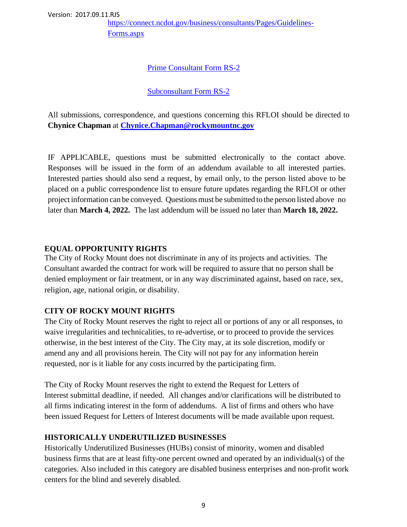[https://connect.ncdot.gov/business/consultants/Pages/Guidelines-](https://connect.ncdot.gov/business/consultants/Pages/Guidelines-Forms.aspx)[Forms.aspx](https://connect.ncdot.gov/business/consultants/Pages/Guidelines-Forms.aspx)

### Prime [Consultant](https://connect.ncdot.gov/business/consultants/Roadway/Form%20RS-2%20Prime%20Contractor.pdf) Form RS-2

#### [Subconsultant Form](https://connect.ncdot.gov/business/consultants/Roadway/Form%20RS-2%20Subcontract.pdf) RS-2

All submissions, correspondence, and questions concerning this RFLOI should be directed to **Chynice Chapman** at **[Chynice.Chapman@rockymountnc.gov](mailto:Chynice.Chapman@rockymountnc.gov)**

IF APPLICABLE, questions must be submitted electronically to the contact above. Responses will be issued in the form of an addendum available to all interested parties. Interested parties should also send a request, by email only, to the person listed above to be placed on a public correspondence list to ensure future updates regarding the RFLOI or other project information can be conveyed. Questions must be submitted to the person listed above no later than **March 4, 2022.** The last addendum will be issued no later than **March 18, 2022.**

#### **EQUAL OPPORTUNITY RIGHTS**

The City of Rocky Mount does not discriminate in any of its projects and activities. The Consultant awarded the contract for work will be required to assure that no person shall be denied employment or fair treatment, or in any way discriminated against, based on race, sex, religion, age, national origin, or disability.

### **CITY OF ROCKY MOUNT RIGHTS**

The City of Rocky Mount reserves the right to reject all or portions of any or all responses, to waive irregularities and technicalities, to re-advertise, or to proceed to provide the services otherwise, in the best interest of the City. The City may, at its sole discretion, modify or amend any and all provisions herein. The City will not pay for any information herein requested, nor is it liable for any costs incurred by the participating firm.

The City of Rocky Mount reserves the right to extend the Request for Letters of Interest submittal deadline, if needed. All changes and/or clarifications will be distributed to all firms indicating interest in the form of addendums. A list of firms and others who have been issued Request for Letters of Interest documents will be made available upon request.

### **HISTORICALLY UNDERUTILIZED BUSINESSES**

Historically Underutilized Businesses (HUBs) consist of minority, women and disabled business firms that are at least fifty-one percent owned and operated by an individual(s) of the categories. Also included in this category are disabled business enterprises and non-profit work centers for the blind and severely disabled.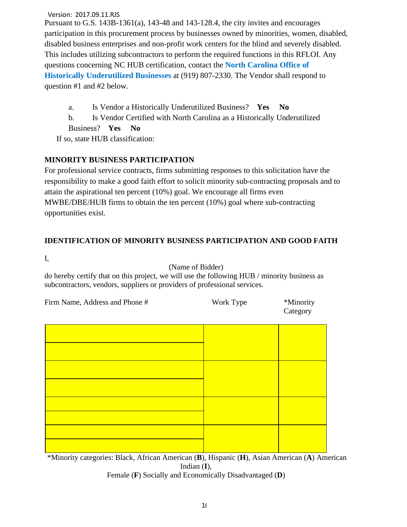Version: 2017.09.11.RJS

Pursuant to G.S. 143B-1361(a), 143-48 and 143-128.4, the city invites and encourages participation in this procurement process by businesses owned by minorities, women, disabled, disabled business enterprises and non-profit work centers for the blind and severely disabled. This includes utilizing subcontractors to perform the required functions in this RFLOI. Any questions concerning NC HUB certification, contact the **[North Carolina Office of](http://ncadmin.nc.gov/businesses/hub)  [Historically Underutilized Businesses](http://ncadmin.nc.gov/businesses/hub)** at (919) 807-2330. The Vendor shall respond to question #1 and #2 below.

a. Is Vendor a Historically Underutilized Business? **Yes No**

b. Is Vendor Certified with North Carolina as a Historically Underutilized

Business? **Yes No**

If so, state HUB classification:

#### **MINORITY BUSINESS PARTICIPATION**

For professional service contracts, firms submitting responses to this solicitation have the responsibility to make a good faith effort to solicit minority sub-contracting proposals and to attain the aspirational ten percent (10%) goal. We encourage all firms even MWBE/DBE/HUB firms to obtain the ten percent (10%) goal where sub-contracting opportunities exist.

#### **IDENTIFICATION OF MINORITY BUSINESS PARTICIPATION AND GOOD FAITH**

I,

(Name of Bidder)

do hereby certify that on this project, we will use the following HUB / minority business as subcontractors, vendors, suppliers or providers of professional services.

| Firm Name, Address and Phone # | Work Type | *Minority |
|--------------------------------|-----------|-----------|
|                                |           | Category  |

\*Minority categories: Black, African American (**B**), Hispanic (**H**), Asian American (**A**) American Indian (**I**), Female (**F**) Socially and Economically Disadvantaged (**D**)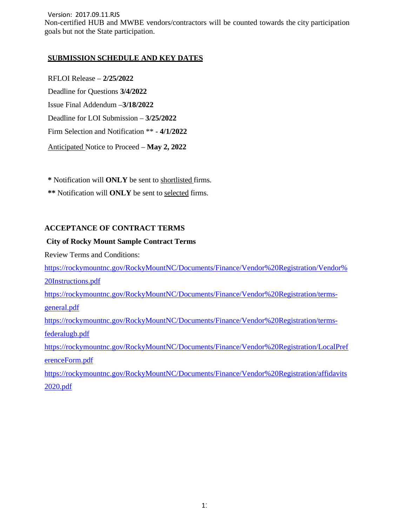Version: 2017.09.11.RJS Non-certified HUB and MWBE vendors/contractors will be counted towards the city participation goals but not the State participation.

#### **SUBMISSION SCHEDULE AND KEY DATES**

RFLOI Release – **2/25/2022**  Deadline for Questions **3/4/2022**  Issue Final Addendum –**3/18/2022** Deadline for LOI Submission – **3/25/2022** Firm Selection and Notification \*\* - **4/1/2022** Anticipated Notice to Proceed – **May 2, 2022**

**\*** Notification will **ONLY** be sent to shortlisted firms. **\*\*** Notification will **ONLY** be sent to selected firms.

#### **ACCEPTANCE OF CONTRACT TERMS**

#### **City of Rocky Mount Sample Contract Terms**

Review Terms and Conditions:

[https://rockymountnc.gov/RockyMountNC/Documents/Finance/Vendor%20Registration/Vendor%](https://rockymountnc.gov/RockyMountNC/Documents/Finance/Vendor%20Registration/Vendor%20Instructions.pdf) [20Instructions.pdf](https://rockymountnc.gov/RockyMountNC/Documents/Finance/Vendor%20Registration/Vendor%20Instructions.pdf)

[https://rockymountnc.gov/RockyMountNC/Documents/Finance/Vendor%20Registration/terms](https://rockymountnc.gov/RockyMountNC/Documents/Finance/Vendor%20Registration/terms-general.pdf)[general.pdf](https://rockymountnc.gov/RockyMountNC/Documents/Finance/Vendor%20Registration/terms-general.pdf)

[https://rockymountnc.gov/RockyMountNC/Documents/Finance/Vendor%20Registration/terms](https://rockymountnc.gov/RockyMountNC/Documents/Finance/Vendor%20Registration/terms-federalugb.pdf)[federalugb.pdf](https://rockymountnc.gov/RockyMountNC/Documents/Finance/Vendor%20Registration/terms-federalugb.pdf)

[https://rockymountnc.gov/RockyMountNC/Documents/Finance/Vendor%20Registration/LocalPref](https://rockymountnc.gov/RockyMountNC/Documents/Finance/Vendor%20Registration/LocalPreferenceForm.pdf) [erenceForm.pdf](https://rockymountnc.gov/RockyMountNC/Documents/Finance/Vendor%20Registration/LocalPreferenceForm.pdf)

[https://rockymountnc.gov/RockyMountNC/Documents/Finance/Vendor%20Registration/affidavits](https://rockymountnc.gov/RockyMountNC/Documents/Finance/Vendor%20Registration/affidavits2020.pdf) [2020.pdf](https://rockymountnc.gov/RockyMountNC/Documents/Finance/Vendor%20Registration/affidavits2020.pdf)